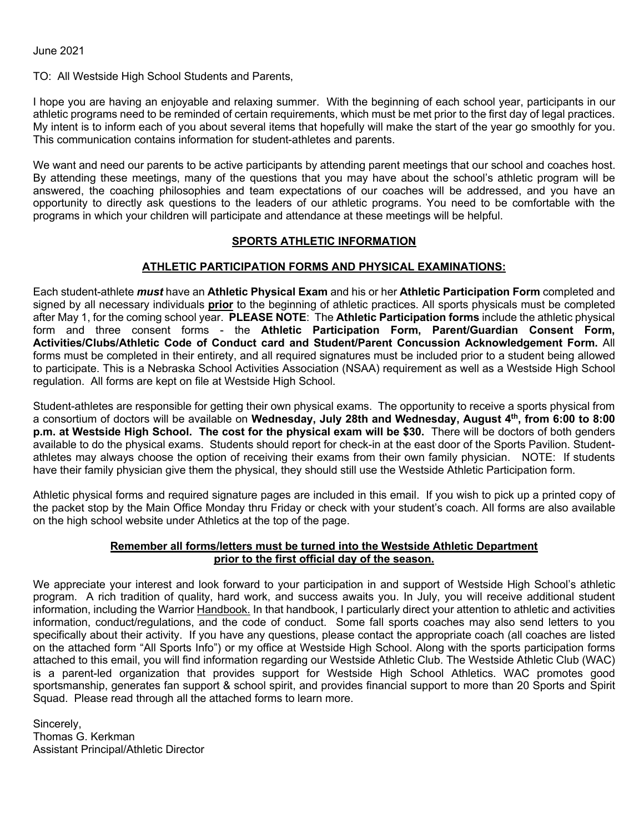June 2021

TO: All Westside High School Students and Parents,

I hope you are having an enjoyable and relaxing summer. With the beginning of each school year, participants in our athletic programs need to be reminded of certain requirements, which must be met prior to the first day of legal practices. My intent is to inform each of you about several items that hopefully will make the start of the year go smoothly for you. This communication contains information for student-athletes and parents.

We want and need our parents to be active participants by attending parent meetings that our school and coaches host. By attending these meetings, many of the questions that you may have about the school's athletic program will be answered, the coaching philosophies and team expectations of our coaches will be addressed, and you have an opportunity to directly ask questions to the leaders of our athletic programs. You need to be comfortable with the programs in which your children will participate and attendance at these meetings will be helpful.

## **SPORTS ATHLETIC INFORMATION**

## **ATHLETIC PARTICIPATION FORMS AND PHYSICAL EXAMINATIONS:**

Each student-athlete *must* have an **Athletic Physical Exam** and his or her **Athletic Participation Form** completed and signed by all necessary individuals **prior** to the beginning of athletic practices. All sports physicals must be completed after May 1, for the coming school year. **PLEASE NOTE**: The **Athletic Participation forms** include the athletic physical form and three consent forms - the **Athletic Participation Form, Parent/Guardian Consent Form, Activities/Clubs/Athletic Code of Conduct card and Student/Parent Concussion Acknowledgement Form.** All forms must be completed in their entirety, and all required signatures must be included prior to a student being allowed to participate. This is a Nebraska School Activities Association (NSAA) requirement as well as a Westside High School regulation. All forms are kept on file at Westside High School.

Student-athletes are responsible for getting their own physical exams. The opportunity to receive a sports physical from a consortium of doctors will be available on **Wednesday, July 28th and Wednesday, August 4th, from 6:00 to 8:00 p.m. at Westside High School. The cost for the physical exam will be \$30.** There will be doctors of both genders available to do the physical exams. Students should report for check-in at the east door of the Sports Pavilion. Studentathletes may always choose the option of receiving their exams from their own family physician. NOTE: If students have their family physician give them the physical, they should still use the Westside Athletic Participation form.

Athletic physical forms and required signature pages are included in this email. If you wish to pick up a printed copy of the packet stop by the Main Office Monday thru Friday or check with your student's coach. All forms are also available on the high school website under Athletics at the top of the page.

## **Remember all forms/letters must be turned into the Westside Athletic Department prior to the first official day of the season.**

We appreciate your interest and look forward to your participation in and support of Westside High School's athletic program. A rich tradition of quality, hard work, and success awaits you. In July, you will receive additional student information, including the Warrior Handbook. In that handbook, I particularly direct your attention to athletic and activities information, conduct/regulations, and the code of conduct. Some fall sports coaches may also send letters to you specifically about their activity. If you have any questions, please contact the appropriate coach (all coaches are listed on the attached form "All Sports Info") or my office at Westside High School. Along with the sports participation forms attached to this email, you will find information regarding our Westside Athletic Club. The Westside Athletic Club (WAC) is a parent-led organization that provides support for Westside High School Athletics. WAC promotes good sportsmanship, generates fan support & school spirit, and provides financial support to more than 20 Sports and Spirit Squad. Please read through all the attached forms to learn more.

Sincerely, Thomas G. Kerkman Assistant Principal/Athletic Director